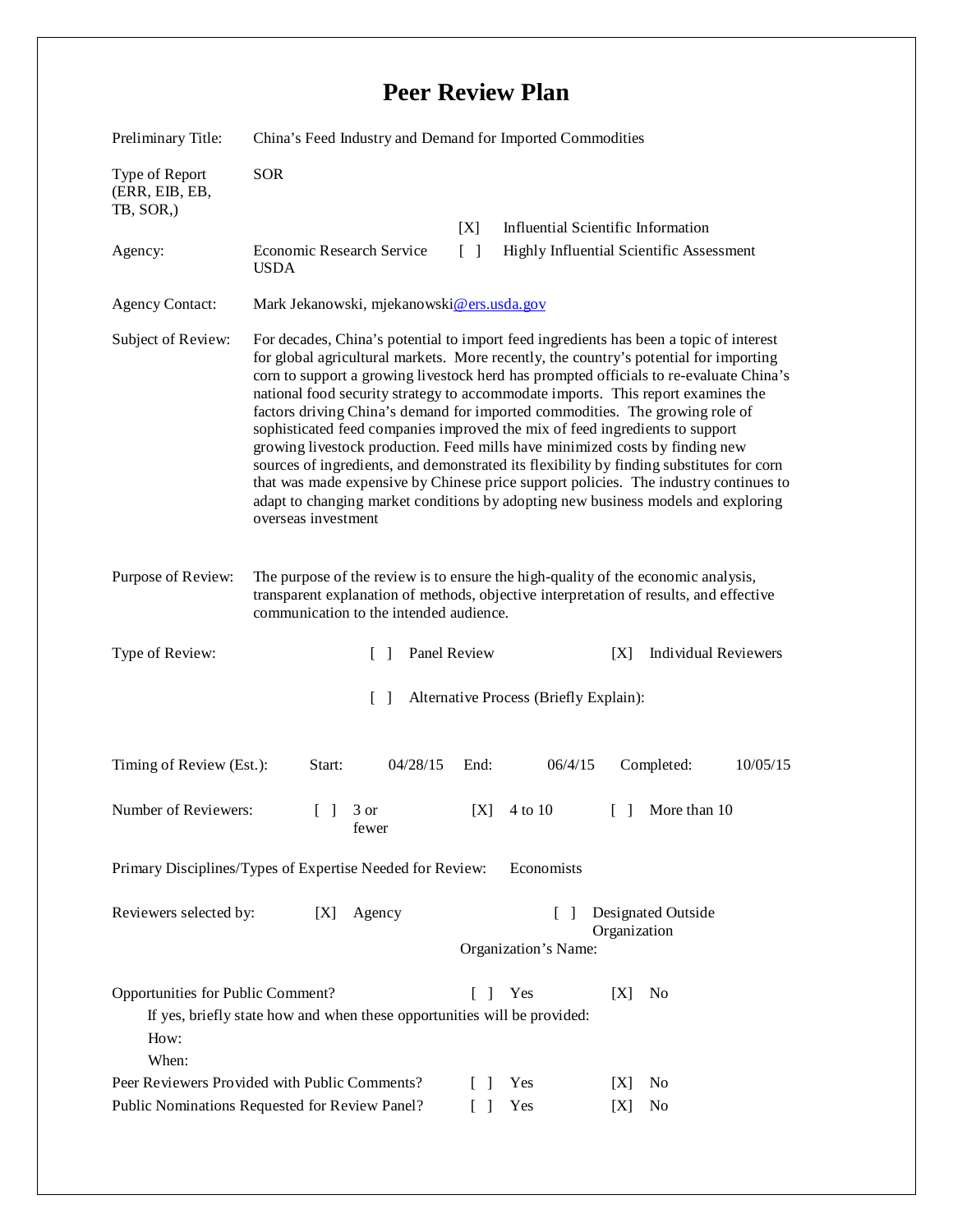## **Peer Review Plan**

| Preliminary Title:                                                                                              | China's Feed Industry and Demand for Imported Commodities                                                                                                                                                                                                                                                                                                                                                                                                                                                                                                                                                                                                                                                                                                                                                                                                                                                     |                   |            |                                          |  |
|-----------------------------------------------------------------------------------------------------------------|---------------------------------------------------------------------------------------------------------------------------------------------------------------------------------------------------------------------------------------------------------------------------------------------------------------------------------------------------------------------------------------------------------------------------------------------------------------------------------------------------------------------------------------------------------------------------------------------------------------------------------------------------------------------------------------------------------------------------------------------------------------------------------------------------------------------------------------------------------------------------------------------------------------|-------------------|------------|------------------------------------------|--|
| Type of Report<br>(ERR, EIB, EB,<br>TB, SOR,)                                                                   | <b>SOR</b>                                                                                                                                                                                                                                                                                                                                                                                                                                                                                                                                                                                                                                                                                                                                                                                                                                                                                                    |                   |            |                                          |  |
|                                                                                                                 |                                                                                                                                                                                                                                                                                                                                                                                                                                                                                                                                                                                                                                                                                                                                                                                                                                                                                                               | [X]               |            | Influential Scientific Information       |  |
| Agency:                                                                                                         | Economic Research Service<br><b>USDA</b>                                                                                                                                                                                                                                                                                                                                                                                                                                                                                                                                                                                                                                                                                                                                                                                                                                                                      | $\lceil$ $\rceil$ |            | Highly Influential Scientific Assessment |  |
| <b>Agency Contact:</b>                                                                                          | Mark Jekanowski, mjekanowski@ers.usda.gov                                                                                                                                                                                                                                                                                                                                                                                                                                                                                                                                                                                                                                                                                                                                                                                                                                                                     |                   |            |                                          |  |
| Subject of Review:                                                                                              | For decades, China's potential to import feed ingredients has been a topic of interest<br>for global agricultural markets. More recently, the country's potential for importing<br>corn to support a growing livestock herd has prompted officials to re-evaluate China's<br>national food security strategy to accommodate imports. This report examines the<br>factors driving China's demand for imported commodities. The growing role of<br>sophisticated feed companies improved the mix of feed ingredients to support<br>growing livestock production. Feed mills have minimized costs by finding new<br>sources of ingredients, and demonstrated its flexibility by finding substitutes for corn<br>that was made expensive by Chinese price support policies. The industry continues to<br>adapt to changing market conditions by adopting new business models and exploring<br>overseas investment |                   |            |                                          |  |
| Purpose of Review:                                                                                              | The purpose of the review is to ensure the high-quality of the economic analysis,<br>transparent explanation of methods, objective interpretation of results, and effective<br>communication to the intended audience.                                                                                                                                                                                                                                                                                                                                                                                                                                                                                                                                                                                                                                                                                        |                   |            |                                          |  |
| Type of Review:                                                                                                 | $\Box$                                                                                                                                                                                                                                                                                                                                                                                                                                                                                                                                                                                                                                                                                                                                                                                                                                                                                                        | Panel Review      |            | Individual Reviewers<br>[X]              |  |
| $\lceil$ $\rceil$<br>Alternative Process (Briefly Explain):                                                     |                                                                                                                                                                                                                                                                                                                                                                                                                                                                                                                                                                                                                                                                                                                                                                                                                                                                                                               |                   |            |                                          |  |
| Timing of Review (Est.):                                                                                        | 04/28/15<br>Start:                                                                                                                                                                                                                                                                                                                                                                                                                                                                                                                                                                                                                                                                                                                                                                                                                                                                                            | End:              | 06/4/15    | Completed:<br>10/05/15                   |  |
| Number of Reviewers:<br>$\Box$<br>3 or<br>fewer                                                                 |                                                                                                                                                                                                                                                                                                                                                                                                                                                                                                                                                                                                                                                                                                                                                                                                                                                                                                               | [X]               | 4 to 10    | More than 10<br>$\Box$                   |  |
|                                                                                                                 | Primary Disciplines/Types of Expertise Needed for Review:                                                                                                                                                                                                                                                                                                                                                                                                                                                                                                                                                                                                                                                                                                                                                                                                                                                     |                   | Economists |                                          |  |
| Reviewers selected by:<br>Designated Outside<br>Agency<br>[X]<br>$\Box$<br>Organization<br>Organization's Name: |                                                                                                                                                                                                                                                                                                                                                                                                                                                                                                                                                                                                                                                                                                                                                                                                                                                                                                               |                   |            |                                          |  |
| Opportunities for Public Comment?                                                                               | If yes, briefly state how and when these opportunities will be provided:                                                                                                                                                                                                                                                                                                                                                                                                                                                                                                                                                                                                                                                                                                                                                                                                                                      | L<br>$\mathbf{I}$ | Yes        | [X]<br>N <sub>0</sub>                    |  |
| How:<br>When:                                                                                                   |                                                                                                                                                                                                                                                                                                                                                                                                                                                                                                                                                                                                                                                                                                                                                                                                                                                                                                               |                   |            |                                          |  |
|                                                                                                                 | Peer Reviewers Provided with Public Comments?                                                                                                                                                                                                                                                                                                                                                                                                                                                                                                                                                                                                                                                                                                                                                                                                                                                                 | $\Box$            | Yes        | N <sub>0</sub><br>[X]                    |  |